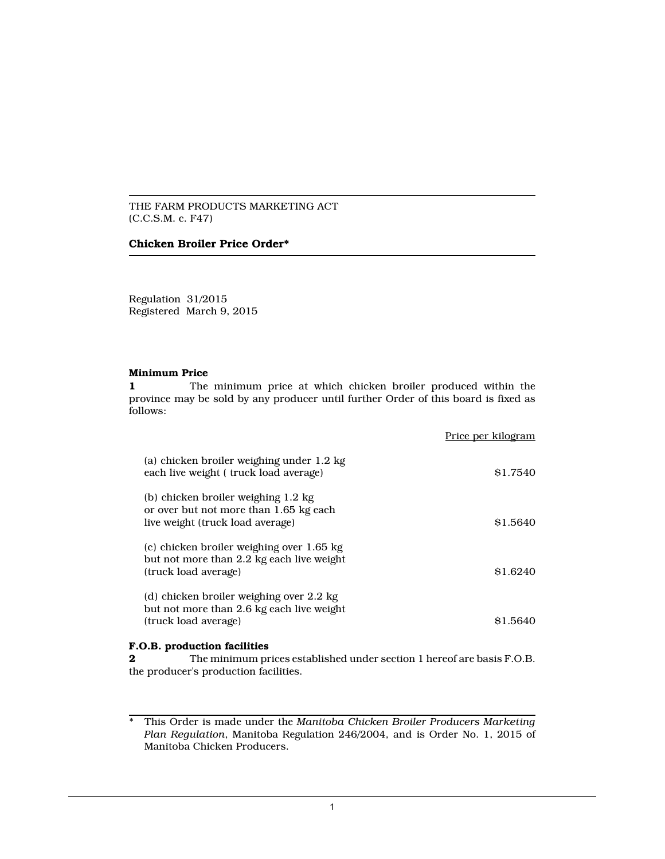### THE FARM PRODUCTS MARKETING ACT (C.C.S.M. c. F47)

### **Chicken Broiler Price Order\***

Regulation 31/2015 Registered March 9, 2015

### **Minimum Price**

**1** The minimum price at which chicken broiler produced within the province may be sold by any producer until further Order of this board is fixed as follows:

|                                                                                                                   | Price per kilogram |
|-------------------------------------------------------------------------------------------------------------------|--------------------|
| (a) chicken broiler weighing under 1.2 kg<br>each live weight (truck load average)                                | \$1.7540           |
| (b) chicken broiler weighing 1.2 kg<br>or over but not more than 1.65 kg each<br>live weight (truck load average) | \$1.5640           |
| (c) chicken broiler weighing over 1.65 kg<br>but not more than 2.2 kg each live weight<br>(truck load average)    | \$1.6240           |
| (d) chicken broiler weighing over 2.2 kg<br>but not more than 2.6 kg each live weight<br>(truck load average)     | \$1.5640           |

### **F.O.B. production facilities**

**2** The minimum prices established under section 1 hereof are basis F.O.B. the producer's production facilities.

<sup>\*</sup> This Order is made under the *Manitoba Chicken Broiler Producers Marketing Plan Regulation*, Manitoba Regulation 246/2004, and is Order No. 1, 2015 of Manitoba Chicken Producers.